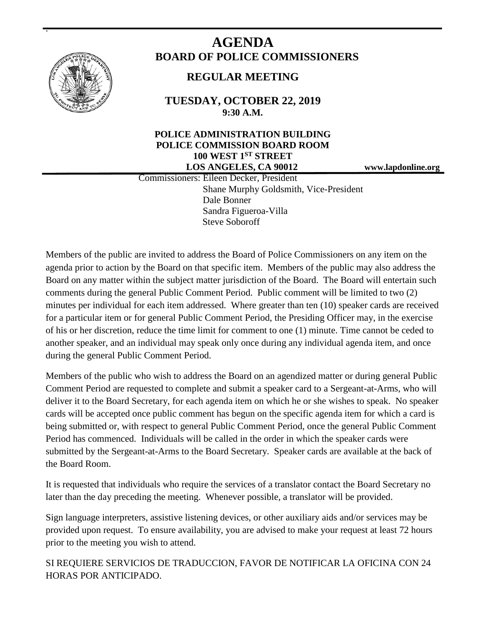

.

# **AGENDA BOARD OF POLICE COMMISSIONERS**

# **REGULAR MEETING**

**TUESDAY, OCTOBER 22, 2019 9:30 A.M.**

#### **POLICE ADMINISTRATION BUILDING POLICE COMMISSION BOARD ROOM 100 WEST 1ST STREET LOS ANGELES, CA 90012 www.lapdonline.org**

 Commissioners: Eileen Decker, President Shane Murphy Goldsmith, Vice-President Dale Bonner Sandra Figueroa-Villa Steve Soboroff

Members of the public are invited to address the Board of Police Commissioners on any item on the agenda prior to action by the Board on that specific item. Members of the public may also address the Board on any matter within the subject matter jurisdiction of the Board. The Board will entertain such comments during the general Public Comment Period. Public comment will be limited to two (2) minutes per individual for each item addressed. Where greater than ten (10) speaker cards are received for a particular item or for general Public Comment Period, the Presiding Officer may, in the exercise of his or her discretion, reduce the time limit for comment to one (1) minute. Time cannot be ceded to another speaker, and an individual may speak only once during any individual agenda item, and once during the general Public Comment Period.

Members of the public who wish to address the Board on an agendized matter or during general Public Comment Period are requested to complete and submit a speaker card to a Sergeant-at-Arms, who will deliver it to the Board Secretary, for each agenda item on which he or she wishes to speak. No speaker cards will be accepted once public comment has begun on the specific agenda item for which a card is being submitted or, with respect to general Public Comment Period, once the general Public Comment Period has commenced. Individuals will be called in the order in which the speaker cards were submitted by the Sergeant-at-Arms to the Board Secretary. Speaker cards are available at the back of the Board Room.

It is requested that individuals who require the services of a translator contact the Board Secretary no later than the day preceding the meeting. Whenever possible, a translator will be provided.

Sign language interpreters, assistive listening devices, or other auxiliary aids and/or services may be provided upon request. To ensure availability, you are advised to make your request at least 72 hours prior to the meeting you wish to attend.

SI REQUIERE SERVICIOS DE TRADUCCION, FAVOR DE NOTIFICAR LA OFICINA CON 24 HORAS POR ANTICIPADO.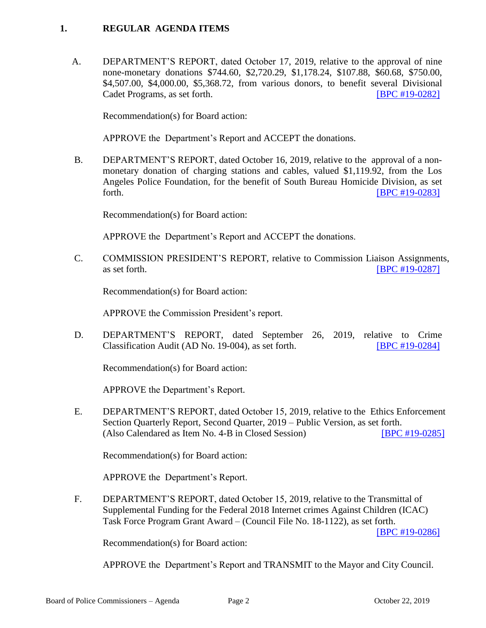#### **1. REGULAR AGENDA ITEMS**

 A. DEPARTMENT'S REPORT, dated October 17, 2019, relative to the approval of nine none-monetary donations \$744.60, \$2,720.29, \$1,178.24, \$107.88, \$60.68, \$750.00, \$4,507.00, \$4,000.00, \$5,368.72, from various donors, to benefit several Divisional Cadet Programs, as set forth. **[\[BPC #19-0282\]](http://www.lapdpolicecom.lacity.org/102219/BPC_19-0282.pdf)** 

Recommendation(s) for Board action:

APPROVE the Department's Report and ACCEPT the donations.

B. DEPARTMENT'S REPORT, dated October 16, 2019, relative to the approval of a nonmonetary donation of charging stations and cables, valued \$1,119.92, from the Los Angeles Police Foundation, for the benefit of South Bureau Homicide Division, as set forth. **IBPC #19-02831** 

Recommendation(s) for Board action:

APPROVE the Department's Report and ACCEPT the donations.

C. COMMISSION PRESIDENT'S REPORT, relative to Commission Liaison Assignments, as set forth. **IBPC #19-0287** 

Recommendation(s) for Board action:

APPROVE the Commission President's report.

D. DEPARTMENT'S REPORT, dated September 26, 2019, relative to Crime Classification Audit (AD No. 19-004), as set forth. [BPC [#19-0284\]](http://www.lapdpolicecom.lacity.org/102219/BPC_19-0284.pdf)

Recommendation(s) for Board action:

APPROVE the Department's Report.

E. DEPARTMENT'S REPORT, dated October 15, 2019, relative to the Ethics Enforcement Section Quarterly Report, Second Quarter, 2019 – Public Version, as set forth. (Also Calendared as Item No. 4-B in Closed Session) [\[BPC #19-0285\]](http://www.lapdpolicecom.lacity.org/102219/BPC_19-0285.pdf)

Recommendation(s) for Board action:

APPROVE the Department's Report.

F. DEPARTMENT'S REPORT, dated October 15, 2019, relative to the Transmittal of Supplemental Funding for the Federal 2018 Internet crimes Against Children (ICAC) Task Force Program Grant Award – (Council File No. 18-1122), as set forth.

[\[BPC #19-0286\]](http://www.lapdpolicecom.lacity.org/102219/BPC_19-0286.pdf)

Recommendation(s) for Board action:

APPROVE the Department's Report and TRANSMIT to the Mayor and City Council.